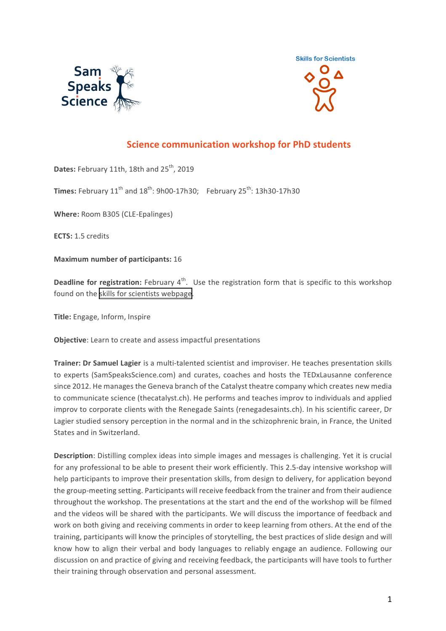



## **Science communication workshop for PhD students**

Dates: February 11th, 18th and 25<sup>th</sup>, 2019

**Times:** February  $11<sup>th</sup>$  and  $18<sup>th</sup>$ :  $9h00-17h30$ ; February  $25<sup>th</sup>$ :  $13h30-17h30$ 

**Where:** Room B305 (CLE-Epalinges)

**ECTS:** 1.5 credits

**Maximum number of participants: 16** 

**Deadline for registration:** February 4<sup>th</sup>. Use the registration form that is specific to this workshop found on the skills for scientists webpage.

**Title:** Engage, Inform, Inspire

**Objective**: Learn to create and assess impactful presentations

**Trainer: Dr Samuel Lagier** is a multi-talented scientist and improviser. He teaches presentation skills to experts (SamSpeaksScience.com) and curates, coaches and hosts the TEDxLausanne conference since 2012. He manages the Geneva branch of the Catalyst theatre company which creates new media to communicate science (thecatalyst.ch). He performs and teaches improv to individuals and applied improv to corporate clients with the Renegade Saints (renegadesaints.ch). In his scientific career, Dr Lagier studied sensory perception in the normal and in the schizophrenic brain, in France, the United States and in Switzerland.

**Description**: Distilling complex ideas into simple images and messages is challenging. Yet it is crucial for any professional to be able to present their work efficiently. This 2.5-day intensive workshop will help participants to improve their presentation skills, from design to delivery, for application beyond the group-meeting setting. Participants will receive feedback from the trainer and from their audience throughout the workshop. The presentations at the start and the end of the workshop will be filmed and the videos will be shared with the participants. We will discuss the importance of feedback and work on both giving and receiving comments in order to keep learning from others. At the end of the training, participants will know the principles of storytelling, the best practices of slide design and will know how to align their verbal and body languages to reliably engage an audience. Following our discussion on and practice of giving and receiving feedback, the participants will have tools to further their training through observation and personal assessment.